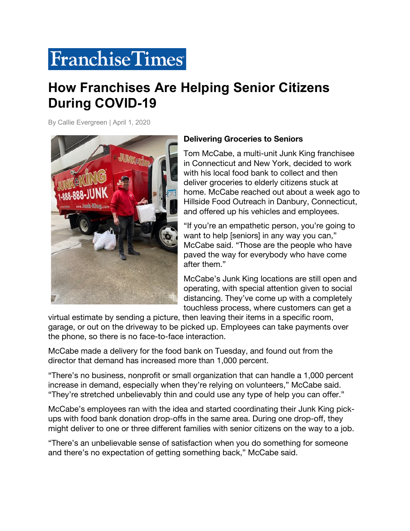## **Franchise Times**

## **How Franchises Are Helping Senior Citizens During COVID-19**

By Callie Evergreen | April 1, 2020



## **Delivering Groceries to Seniors**

Tom McCabe, a multi-unit Junk King franchisee in Connecticut and New York, decided to work with his local food bank to collect and then deliver groceries to elderly citizens stuck at home. McCabe reached out about a week ago to Hillside Food Outreach in Danbury, Connecticut, and offered up his vehicles and employees.

"If you're an empathetic person, you're going to want to help [seniors] in any way you can," McCabe said. "Those are the people who have paved the way for everybody who have come after them."

McCabe's Junk King locations are still open and operating, with special attention given to social distancing. They've come up with a completely touchless process, where customers can get a

virtual estimate by sending a picture, then leaving their items in a specific room, garage, or out on the driveway to be picked up. Employees can take payments over the phone, so there is no face-to-face interaction.

McCabe made a delivery for the food bank on Tuesday, and found out from the director that demand has increased more than 1,000 percent.

"There's no business, nonprofit or small organization that can handle a 1,000 percent increase in demand, especially when they're relying on volunteers," McCabe said. "They're stretched unbelievably thin and could use any type of help you can offer."

McCabe's employees ran with the idea and started coordinating their Junk King pickups with food bank donation drop-offs in the same area. During one drop-off, they might deliver to one or three different families with senior citizens on the way to a job.

"There's an unbelievable sense of satisfaction when you do something for someone and there's no expectation of getting something back," McCabe said.